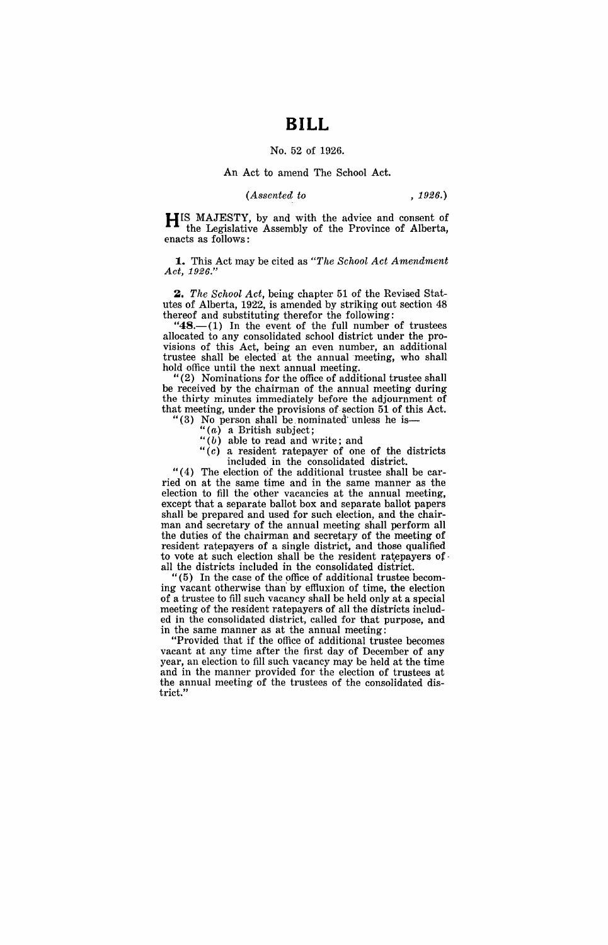# **BILL**

### No. 52 of 1926.

### An Act to amend The School Act.

#### *(Assented to* , 1926.)

**HIS** MAJESTY, by and with the advice and consent of the Legislative Assembly of the Province of Alberta, enacts as follows:

**1.** This Act may be cited as *"The School Act Amendment Act, 1926."* 

*2. The School Act,* being chapter 51 of the Revised Statutes of Alberta, 1922, is amended by striking out section 48 thereof and substituting therefor the following:

" $48$ - $(1)$  In the event of the full number of trustees allocated to any consolidated school district under the provisions of this Act, being an even number, an additional trustee shall be elected' at the annual meeting, who shall hold ·office until the next annual meeting.

"(2) Nominations for the office of additional trustee shall be received by the chairman of the annual meeting during the thirty minutes immediately before the adjournment of that meeting, under the provisions of· section 51 of this Act.

- "(3) No person shall be nominated unless he is-
	- " $(a)$  a British subject;
	- " $(b)$  able to read and write; and
	- "(c) a resident ratepayer of one of the districts included in the consolidated district.

" $(4)$  The election of the additional trustee shall be carried on at the same time and in the same manner as the election to fill the other vacancies at the annual meeting, except that a separate ballot box and separate ballot papers shall be prepared and used for such election, and the chairman and secretary of the annual meeting shall perform all the duties of the chairman and secretary of the meeting of resident ratepayers of a single district, and those qualified to vote at such election shall be the resident ratepayers of all the districts included in the consolidated district.

" (5) In the case of the office of additional trustee becoming vacant otherwise than' by effluxion of time, the election of a trustee to fill such vacancy shall be held only at a special meeting of the resident ratepayers of all the districts included in the consolidated district, called for that purpose, and in the same manner as at the annual meeting:

"Provided that if the office of additional trustee becomes vacant at any time after the first day of December of any year, an election to fill such vacancy may be held at the time and in the manner provided for the election of trustees at the annual meeting of the trustees of the consolidated district."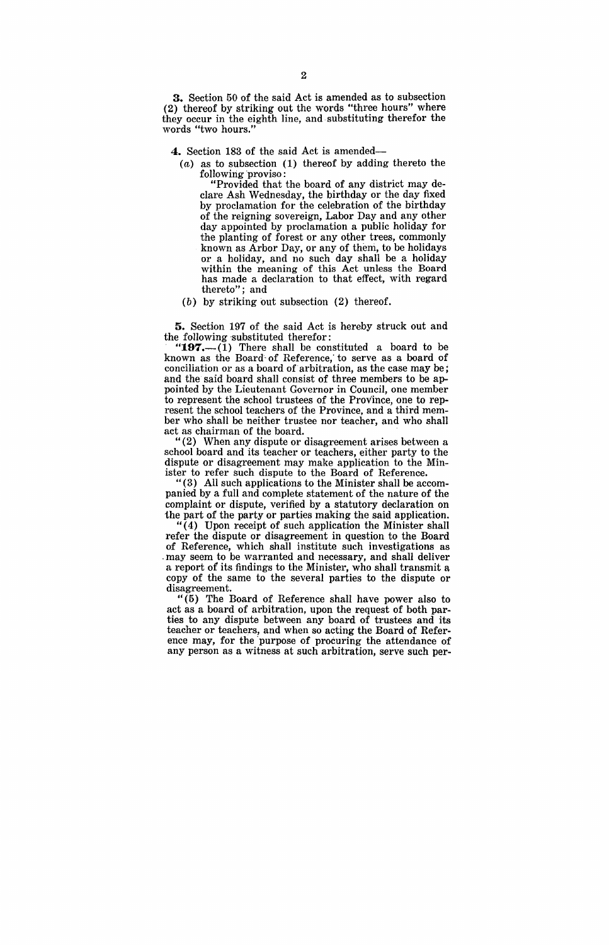3. Section 50 of the said Act is amended as to subsection (2) thereof by striking out the words "three hours" where they occur in the eighth line, and· substituting therefor the words "two hours."

4. Section 183 of the said Act is amended-

(a) as to subsection (1) thereof by adding thereto the following proviso:

"Provided that the board of any district may declare Ash Wednesday, the birthday or the day fixed by proclamation for the celebration of the birthday of the reigning sovereign, Labor Day and any other day appointed by proclamation a public holiday for the planting of forest or any other trees, commonly known as Arbor Day, or any of them, to be holidays or a holiday, and no such day shall be a holiday within the meaning of this Act unless the Board has made a declaration to that effect, with regard thereto"; and

(b) by striking out subsection (2) thereof.

5. Section 197 of the said Act is hereby struck out and the following substituted therefor:

197. $-(1)$  There shall be constituted a board to be known as the Board of Reference, to serve as a board of conciliation or as a board of arbitration, as the case may be; and the said board shall consist of three members to be appointed by the Lieutenant Governor in Council, one member to represent the school trustees of the Province, one to represent the school teachers of the Province, and a third member who shall be neither trustee nor teacher, and who shall act as chairman of the board.

 $I(2)$  When any dispute or disagreement arises between a school board and its teacher or teachers, either party to the dispute or disagreement may make application to the Minister to refer such dispute to the Board of Reference.

"(3) All such applications to the Minister shall be accompanied by a full and complete statement of the nature of the complaint or dispute, verified by a statutory declaration on the part of the party or parties making the said application.

 $''(4)$  Upon receipt of such application the Minister shall refer the dispute or disagreement in question to the Board of Reference, which shall institute such investigations as . may seem to be warranted and necessary, and shall deliver a report of its findings to the Minister, who shall transmit a copy of the same to the several parties to the dispute or disagreement.

" (5) The Board of Reference shall have power also to act as a board of arbitration, upon the request of both parties to any dispute between any board of trustees and its teacher or teachers, and when so acting the Board of Reference may, for the 'purpose of procuring the attendance of any person as a witness at such arbitration, serve such per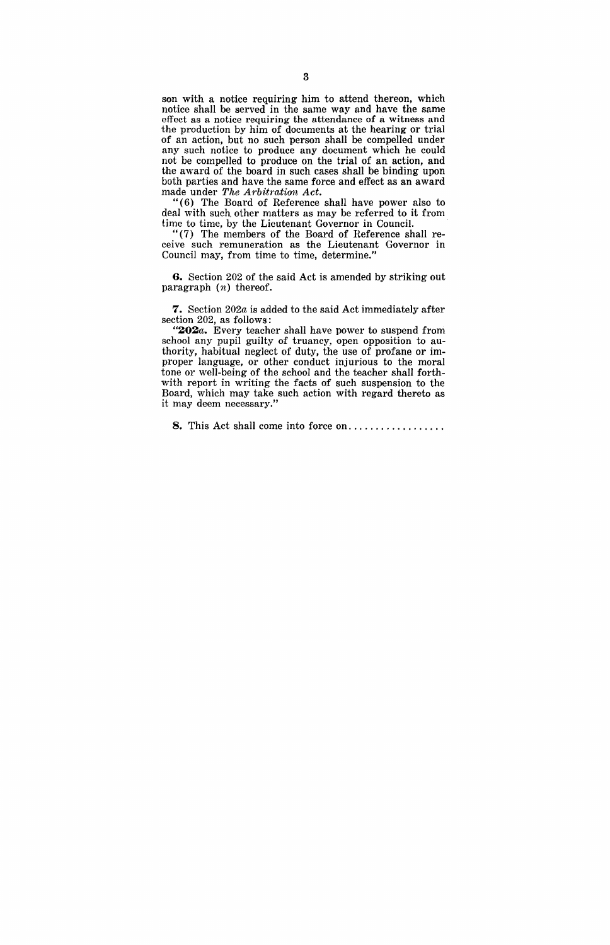son with a notice requiring him to attend thereon, which notice shall be served in the same way and have the same effect as a notice requiring the attendance of a witness and the production by him of documents at the hearing or trial of an action, but no such person shall be compelled under any such notice to produce any document which he could not be compelled to produce on the trial of an action, and the award of the board in such cases shall be binding upon both parties and have the same force and effect as an award made under *The Arbitration Act.* 

" ( 6) The Board of Reference shall have power also to deal with such other matters as may be referred to it from time to time, by the Lieutenant Governor in Council.

" (7) The members of the Board of Reference shall receive such remuneration as the Lieutenant Governor in Council may, from time to time, determine."

**6.** Section 202 of the said Act is amended by striking out paragraph (n) thereof.

**7.** Section *202a* is added to the said Act immediately after section 202, as follows:

"202a. Every teacher shall have power to suspend from school any pupil guilty of truancy, open opposition to authority, habitual neglect of duty, the use of profane or improper language, or other conduct injurious to the moral tone or well-being of the school and the teacher shall forthwith report in writing the facts of such suspension to the Board, which may take such action with regard thereto as it may deem necessary."

8. This Act shall come into force on..................